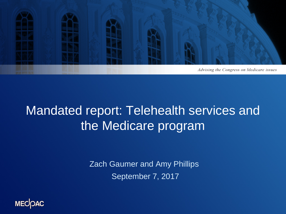

### Mandated report: Telehealth services and the Medicare program

Zach Gaumer and Amy Phillips September 7, 2017

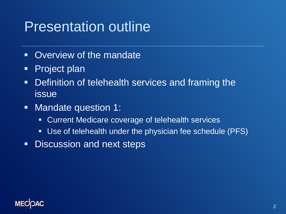## Presentation outline

- **Overview of the mandate**
- **Project plan**
- **Definition of telehealth services and framing the** issue
- **Nandate question 1:** 
	- **EX Current Medicare coverage of telehealth services**
	- Use of telehealth under the physician fee schedule (PFS)
- **-** Discussion and next steps

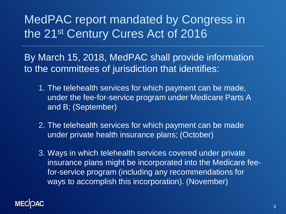### MedPAC report mandated by Congress in the 21st Century Cures Act of 2016

By March 15, 2018, MedPAC shall provide information to the committees of jurisdiction that identifies:

- 1. The telehealth services for which payment can be made, under the fee-for-service program under Medicare Parts A and B; (September)
- 2. The telehealth services for which payment can be made under private health insurance plans; (October)
- 3. Ways in which telehealth services covered under private insurance plans might be incorporated into the Medicare feefor-service program (including any recommendations for ways to accomplish this incorporation). (November)

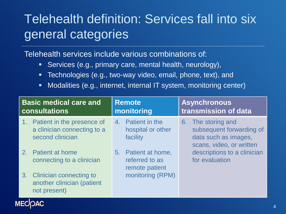## Telehealth definition: Services fall into six general categories

Telehealth services include various combinations of:

- Services (e.g., primary care, mental health, neurology),
- **Technologies (e.g., two-way video, email, phone, text), and**
- Modalities (e.g., internet, internal IT system, monitoring center)

| <b>Basic medical care and</b><br><b>consultations</b> |                                                                                  | <b>Remote</b><br>monitoring |                                                         | <b>Asynchronous</b><br>transmission of data |                                                                                                    |
|-------------------------------------------------------|----------------------------------------------------------------------------------|-----------------------------|---------------------------------------------------------|---------------------------------------------|----------------------------------------------------------------------------------------------------|
|                                                       | 1. Patient in the presence of<br>a clinician connecting to a<br>second clinician |                             | 4. Patient in the<br>hospital or other<br>facility      |                                             | 6. The storing and<br>subsequent forwarding of<br>data such as images,<br>scans, video, or written |
|                                                       | 2. Patient at home<br>connecting to a clinician                                  |                             | 5. Patient at home,<br>referred to as<br>remote patient |                                             | descriptions to a clinician<br>for evaluation                                                      |
|                                                       | 3. Clinician connecting to<br>another clinician (patient<br>not present)<br>. .  |                             | monitoring (RPM)                                        |                                             |                                                                                                    |

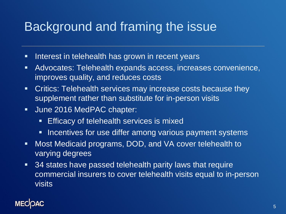### Background and framing the issue

- **Interest in telehealth has grown in recent years**
- Advocates: Telehealth expands access, increases convenience, improves quality, and reduces costs
- **EXTE:** Critics: Telehealth services may increase costs because they supplement rather than substitute for in-person visits
- **June 2016 MedPAC chapter:** 
	- **Efficacy of telehealth services is mixed**
	- **Incentives for use differ among various payment systems**
- Most Medicaid programs, DOD, and VA cover telehealth to varying degrees
- **34 states have passed telehealth parity laws that require** commercial insurers to cover telehealth visits equal to in-person visits

### **MECK**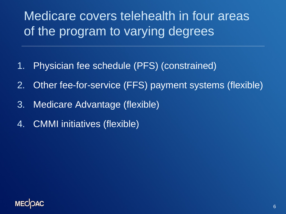## Medicare covers telehealth in four areas of the program to varying degrees

- 1. Physician fee schedule (PFS) (constrained)
- 2. Other fee-for-service (FFS) payment systems (flexible)
- 3. Medicare Advantage (flexible)
- 4. CMMI initiatives (flexible)

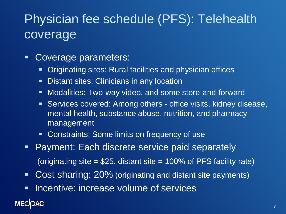## Physician fee schedule (PFS): Telehealth coverage

### Coverage parameters:

- Originating sites: Rural facilities and physician offices
- **Distant sites: Clinicians in any location**
- Modalities: Two-way video, and some store-and-forward
- Services covered: Among others office visits, kidney disease, mental health, substance abuse, nutrition, and pharmacy management
- **Constraints: Some limits on frequency of use**
- **Payment: Each discrete service paid separately** (originating site  $= $25$ , distant site  $= 100\%$  of PFS facility rate)
- Cost sharing: 20% (originating and distant site payments)
- **Incentive: increase volume of services**

### **MECIOAC**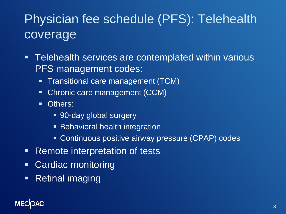## Physician fee schedule (PFS): Telehealth coverage

- **Telehealth services are contemplated within various** PFS management codes:
	- **Transitional care management (TCM)**
	- Chronic care management (CCM)
	- **Others:** 
		- 90-day global surgery
		- **Behavioral health integration**
		- **Continuous positive airway pressure (CPAP) codes**
- **Remote interpretation of tests**
- Cardiac monitoring
- **Retinal imaging**

### **MECIOAC**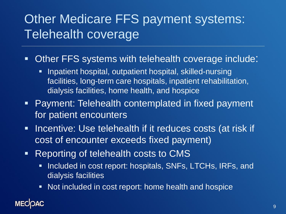## Other Medicare FFS payment systems: Telehealth coverage

- **Deta Cher FFS systems with telehealth coverage include:** 
	- **Inpatient hospital, outpatient hospital, skilled-nursing** facilities, long-term care hospitals, inpatient rehabilitation, dialysis facilities, home health, and hospice
- **Payment: Telehealth contemplated in fixed payment** for patient encounters
- **Incentive: Use telehealth if it reduces costs (at risk if** cost of encounter exceeds fixed payment)
- **-** Reporting of telehealth costs to CMS
	- **Included in cost report: hospitals, SNFs, LTCHs, IRFs, and** dialysis facilities
	- Not included in cost report: home health and hospice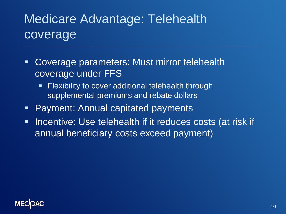### Medicare Advantage: Telehealth **coverage**

- Coverage parameters: Must mirror telehealth coverage under FFS
	- **Filexibility to cover additional telehealth through** supplemental premiums and rebate dollars
- Payment: Annual capitated payments
- **Incentive: Use telehealth if it reduces costs (at risk if** annual beneficiary costs exceed payment)

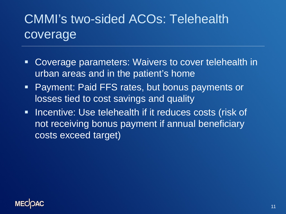## CMMI's two-sided ACOs: Telehealth coverage

- Coverage parameters: Waivers to cover telehealth in urban areas and in the patient's home
- **Payment: Paid FFS rates, but bonus payments or** losses tied to cost savings and quality
- **Incentive: Use telehealth if it reduces costs (risk of** not receiving bonus payment if annual beneficiary costs exceed target)

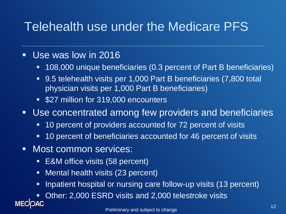### Telehealth use under the Medicare PFS

### Use was low in 2016

- 108,000 unique beneficiaries (0.3 percent of Part B beneficiaries)
- 9.5 telehealth visits per 1,000 Part B beneficiaries (7,800 total physician visits per 1,000 Part B beneficiaries)
- **527 million for 319,000 encounters**
- **Use concentrated among few providers and beneficiaries** 
	- 10 percent of providers accounted for 72 percent of visits
	- **10 percent of beneficiaries accounted for 46 percent of visits**
- **Nost common services:** 
	- **E&M** office visits (58 percent)
	- **Nental health visits (23 percent)**
	- **Inpatient hospital or nursing care follow-up visits (13 percent)**

 Other: 2,000 ESRD visits and 2,000 telestroke visits <sup>12</sup> Preliminary and subject to change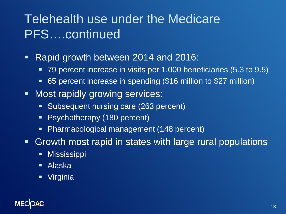### Telehealth use under the Medicare PFS….continued

- **Rapid growth between 2014 and 2016:** 
	- 79 percent increase in visits per 1,000 beneficiaries (5.3 to 9.5)
	- 65 percent increase in spending (\$16 million to \$27 million)
- **Nost rapidly growing services:** 
	- **Subsequent nursing care (263 percent)**
	- Psychotherapy (180 percent)
	- Pharmacological management (148 percent)
- Growth most rapid in states with large rural populations
	- **Mississippi**
	- Alaska
	- Virginia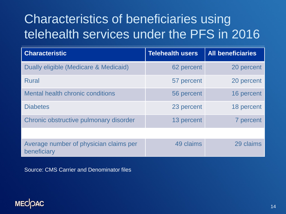## Characteristics of beneficiaries using telehealth services under the PFS in 2016

| <b>Characteristic</b>                                 | <b>Telehealth users</b> | <b>All beneficiaries</b> |
|-------------------------------------------------------|-------------------------|--------------------------|
| Dually eligible (Medicare & Medicaid)                 | 62 percent              | 20 percent               |
| <b>Rural</b>                                          | 57 percent              | 20 percent               |
| <b>Mental health chronic conditions</b>               | 56 percent              | 16 percent               |
| <b>Diabetes</b>                                       | 23 percent              | 18 percent               |
| Chronic obstructive pulmonary disorder                | 13 percent              | 7 percent                |
|                                                       |                         |                          |
| Average number of physician claims per<br>beneficiary | 49 claims               | 29 claims                |

Source: CMS Carrier and Denominator files

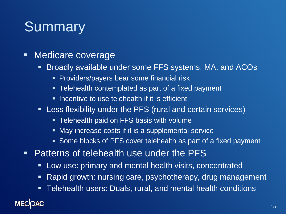# **Summary**

### **Nedicare coverage**

- **Broadly available under some FFS systems, MA, and ACOs** 
	- **Providers/payers bear some financial risk**
	- **Telehealth contemplated as part of a fixed payment**
	- **If all incentive to use telehealth if it is efficient**
- Less flexibility under the PFS (rural and certain services)
	- **Telehealth paid on FFS basis with volume**
	- **May increase costs if it is a supplemental service**
	- **Some blocks of PFS cover telehealth as part of a fixed payment**
- **Patterns of telehealth use under the PFS** 
	- **Low use: primary and mental health visits, concentrated**
	- **Rapid growth: nursing care, psychotherapy, drug management**
	- Telehealth users: Duals, rural, and mental health conditions